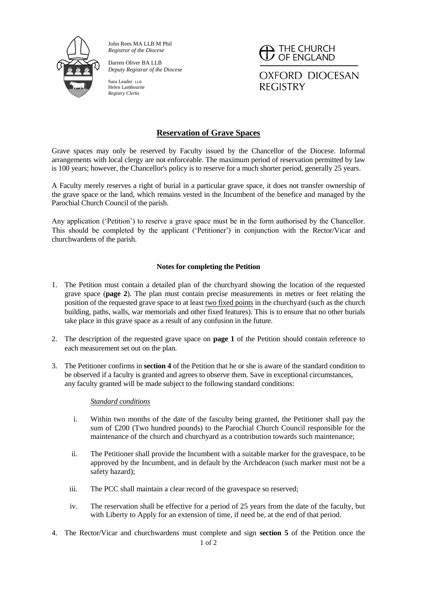

John Rees MA LLB M Phil *Registrar of the Diocese*

Darren Oliver BA LLB *Deputy Registrar of the Diocese*

Sara Leader LLB Helen Lambourne *Registry Clerks*

 $\overline{\phantom{a}}$  THE CHURCH<br> $\overline{\phantom{a}}$  OF ENGLAND **OXFORD DIOCESAN REGISTRY** 

# **Reservation of Grave Spaces**

Grave spaces may only be reserved by Faculty issued by the Chancellor of the Diocese. Informal arrangements with local clergy are not enforceable. The maximum period of reservation permitted by law is 100 years; however, the Chancellor's policy is to reserve for a much shorter period, generally 25 years.

A Faculty merely reserves a right of burial in a particular grave space, it does not transfer ownership of the grave space or the land, which remains vested in the Incumbent of the benefice and managed by the Parochial Church Council of the parish.

Any application ('Petition') to reserve a grave space must be in the form authorised by the Chancellor. This should be completed by the applicant ('Petitioner') in conjunction with the Rector/Vicar and churchwardens of the parish.

## **Notes for completing the Petition**

- 1. The Petition must contain a detailed plan of the churchyard showing the location of the requested grave space (**page 2**). The plan must contain precise measurements in metres or feet relating the position of the requested grave space to at least two fixed points in the churchyard (such as the church building, paths, walls, war memorials and other fixed features). This is to ensure that no other burials take place in this grave space as a result of any confusion in the future.
- 2. The description of the requested grave space on **page 1** of the Petition should contain reference to each measurement set out on the plan.
- 3. The Petitioner confirms in **section 4** of the Petition that he or she is aware of the standard condition to be observed if a faculty is granted and agrees to observe them. Save in exceptional circumstances, any faculty granted will be made subject to the following standard conditions:

### *Standard conditions*

- i. Within two months of the date of the fasculty being granted, the Petitioner shall pay the sum of £200 (Two hundred pounds) to the Parochial Church Council responsible for the maintenance of the church and churchyard as a contribution towards such maintenance;
- ii. The Petitioner shall provide the Incumbent with a suitable marker for the gravespace, to be approved by the Incumbent, and in default by the Archdeacon (such marker must not be a safety hazard);
- iii. The PCC shall maintain a clear record of the gravespace so reserved;
- iv. The reservation shall be effective for a period of 25 years from the date of the faculty, but with Liberty to Apply for an extension of time, if need be, at the end of that period.
- 1 of 2 4. The Rector/Vicar and churchwardens must complete and sign **section 5** of the Petition once the